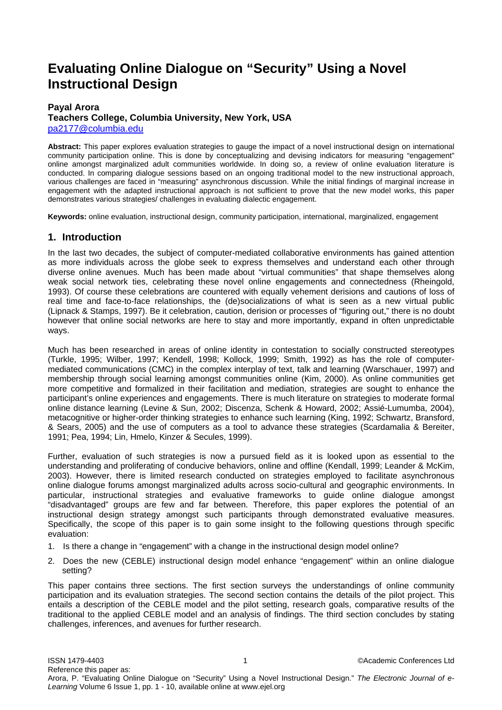# **Evaluating Online Dialogue on "Security" Using a Novel Instructional Design**

### **Payal Arora**

## **Teachers College, Columbia University, New York, USA**  pa2177@columbia.edu

**Abstract:** This paper explores evaluation strategies to gauge the impact of a novel instructional design on international community participation online. This is done by conceptualizing and devising indicators for measuring "engagement" online amongst marginalized adult communities worldwide. In doing so, a review of online evaluation literature is conducted. In comparing dialogue sessions based on an ongoing traditional model to the new instructional approach, various challenges are faced in "measuring" asynchronous discussion. While the initial findings of marginal increase in engagement with the adapted instructional approach is not sufficient to prove that the new model works, this paper demonstrates various strategies/ challenges in evaluating dialectic engagement.

**Keywords:** online evaluation, instructional design, community participation, international, marginalized, engagement

# **1. Introduction**

In the last two decades, the subject of computer-mediated collaborative environments has gained attention as more individuals across the globe seek to express themselves and understand each other through diverse online avenues. Much has been made about "virtual communities" that shape themselves along weak social network ties, celebrating these novel online engagements and connectedness (Rheingold, 1993). Of course these celebrations are countered with equally vehement derisions and cautions of loss of real time and face-to-face relationships, the (de)socializations of what is seen as a new virtual public (Lipnack & Stamps, 1997). Be it celebration, caution, derision or processes of "figuring out," there is no doubt however that online social networks are here to stay and more importantly, expand in often unpredictable ways.

Much has been researched in areas of online identity in contestation to socially constructed stereotypes (Turkle, 1995; Wilber, 1997; Kendell, 1998; Kollock, 1999; Smith, 1992) as has the role of computermediated communications (CMC) in the complex interplay of text, talk and learning (Warschauer, 1997) and membership through social learning amongst communities online (Kim, 2000). As online communities get more competitive and formalized in their facilitation and mediation, strategies are sought to enhance the participant's online experiences and engagements. There is much literature on strategies to moderate formal online distance learning (Levine & Sun, 2002; Discenza, Schenk & Howard, 2002; Assié-Lumumba, 2004), metacognitive or higher-order thinking strategies to enhance such learning (King, 1992; Schwartz, Bransford, & Sears, 2005) and the use of computers as a tool to advance these strategies (Scardamalia & Bereiter, 1991; Pea, 1994; Lin, Hmelo, Kinzer & Secules, 1999).

Further, evaluation of such strategies is now a pursued field as it is looked upon as essential to the understanding and proliferating of conducive behaviors, online and offline (Kendall, 1999; Leander & McKim, 2003). However, there is limited research conducted on strategies employed to facilitate asynchronous online dialogue forums amongst marginalized adults across socio-cultural and geographic environments. In particular, instructional strategies and evaluative frameworks to guide online dialogue amongst "disadvantaged" groups are few and far between. Therefore, this paper explores the potential of an instructional design strategy amongst such participants through demonstrated evaluative measures. Specifically, the scope of this paper is to gain some insight to the following questions through specific evaluation:

- 1. Is there a change in "engagement" with a change in the instructional design model online?
- 2. Does the new (CEBLE) instructional design model enhance "engagement" within an online dialogue setting?

This paper contains three sections. The first section surveys the understandings of online community participation and its evaluation strategies. The second section contains the details of the pilot project. This entails a description of the CEBLE model and the pilot setting, research goals, comparative results of the traditional to the applied CEBLE model and an analysis of findings. The third section concludes by stating challenges, inferences, and avenues for further research.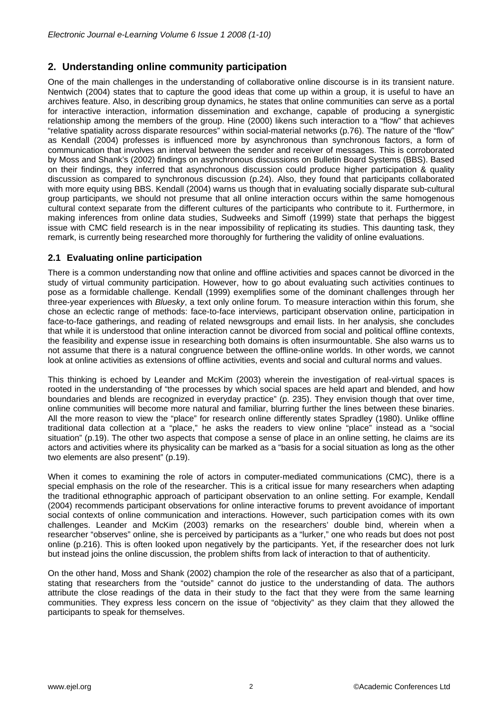# **2. Understanding online community participation**

One of the main challenges in the understanding of collaborative online discourse is in its transient nature. Nentwich (2004) states that to capture the good ideas that come up within a group, it is useful to have an archives feature. Also, in describing group dynamics, he states that online communities can serve as a portal for interactive interaction, information dissemination and exchange, capable of producing a synergistic relationship among the members of the group. Hine (2000) likens such interaction to a "flow" that achieves "relative spatiality across disparate resources" within social-material networks (p.76). The nature of the "flow" as Kendall (2004) professes is influenced more by asynchronous than synchronous factors, a form of communication that involves an interval between the sender and receiver of messages. This is corroborated by Moss and Shank's (2002) findings on asynchronous discussions on Bulletin Board Systems (BBS). Based on their findings, they inferred that asynchronous discussion could produce higher participation & quality discussion as compared to synchronous discussion (p.24). Also, they found that participants collaborated with more equity using BBS. Kendall (2004) warns us though that in evaluating socially disparate sub-cultural group participants, we should not presume that all online interaction occurs within the same homogenous cultural context separate from the different cultures of the participants who contribute to it. Furthermore, in making inferences from online data studies, Sudweeks and Simoff (1999) state that perhaps the biggest issue with CMC field research is in the near impossibility of replicating its studies. This daunting task, they remark, is currently being researched more thoroughly for furthering the validity of online evaluations.

# **2.1 Evaluating online participation**

There is a common understanding now that online and offline activities and spaces cannot be divorced in the study of virtual community participation. However, how to go about evaluating such activities continues to pose as a formidable challenge. Kendall (1999) exemplifies some of the dominant challenges through her three-year experiences with *Bluesky*, a text only online forum. To measure interaction within this forum, she chose an eclectic range of methods: face-to-face interviews, participant observation online, participation in face-to-face gatherings, and reading of related newsgroups and email lists. In her analysis, she concludes that while it is understood that online interaction cannot be divorced from social and political offline contexts, the feasibility and expense issue in researching both domains is often insurmountable. She also warns us to not assume that there is a natural congruence between the offline-online worlds. In other words, we cannot look at online activities as extensions of offline activities, events and social and cultural norms and values.

This thinking is echoed by Leander and McKim (2003) wherein the investigation of real-virtual spaces is rooted in the understanding of "the processes by which social spaces are held apart and blended, and how boundaries and blends are recognized in everyday practice" (p. 235). They envision though that over time, online communities will become more natural and familiar, blurring further the lines between these binaries. All the more reason to view the "place" for research online differently states Spradley (1980). Unlike offline traditional data collection at a "place," he asks the readers to view online "place" instead as a "social situation" (p.19). The other two aspects that compose a sense of place in an online setting, he claims are its actors and activities where its physicality can be marked as a "basis for a social situation as long as the other two elements are also present" (p.19).

When it comes to examining the role of actors in computer-mediated communications (CMC), there is a special emphasis on the role of the researcher. This is a critical issue for many researchers when adapting the traditional ethnographic approach of participant observation to an online setting. For example, Kendall (2004) recommends participant observations for online interactive forums to prevent avoidance of important social contexts of online communication and interactions. However, such participation comes with its own challenges. Leander and McKim (2003) remarks on the researchers' double bind, wherein when a researcher "observes" online, she is perceived by participants as a "lurker," one who reads but does not post online (p.216). This is often looked upon negatively by the participants. Yet, if the researcher does not lurk but instead joins the online discussion, the problem shifts from lack of interaction to that of authenticity.

On the other hand, Moss and Shank (2002) champion the role of the researcher as also that of a participant, stating that researchers from the "outside" cannot do justice to the understanding of data. The authors attribute the close readings of the data in their study to the fact that they were from the same learning communities. They express less concern on the issue of "objectivity" as they claim that they allowed the participants to speak for themselves.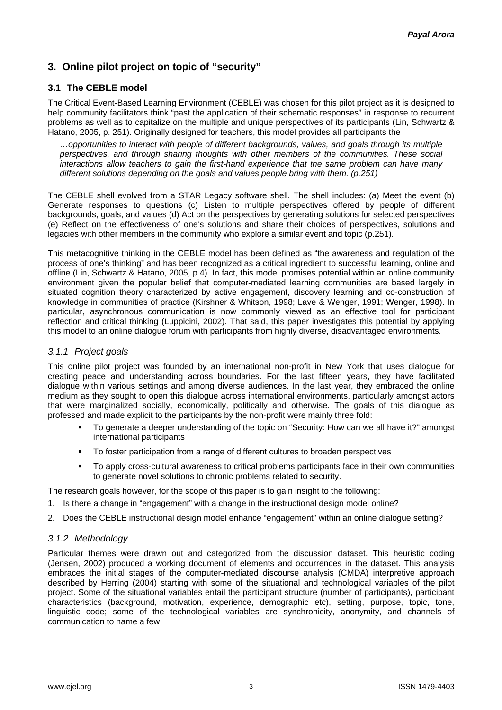# **3. Online pilot project on topic of "security"**

# **3.1 The CEBLE model**

The Critical Event-Based Learning Environment (CEBLE) was chosen for this pilot project as it is designed to help community facilitators think "past the application of their schematic responses" in response to recurrent problems as well as to capitalize on the multiple and unique perspectives of its participants (Lin, Schwartz & Hatano, 2005, p. 251). Originally designed for teachers, this model provides all participants the

*…opportunities to interact with people of different backgrounds, values, and goals through its multiple perspectives, and through sharing thoughts with other members of the communities. These social interactions allow teachers to gain the first-hand experience that the same problem can have many different solutions depending on the goals and values people bring with them. (p.251)* 

The CEBLE shell evolved from a STAR Legacy software shell. The shell includes: (a) Meet the event (b) Generate responses to questions (c) Listen to multiple perspectives offered by people of different backgrounds, goals, and values (d) Act on the perspectives by generating solutions for selected perspectives (e) Reflect on the effectiveness of one's solutions and share their choices of perspectives, solutions and legacies with other members in the community who explore a similar event and topic (p.251).

This metacognitive thinking in the CEBLE model has been defined as "the awareness and regulation of the process of one's thinking" and has been recognized as a critical ingredient to successful learning, online and offline (Lin, Schwartz & Hatano, 2005, p.4). In fact, this model promises potential within an online community environment given the popular belief that computer-mediated learning communities are based largely in situated cognition theory characterized by active engagement, discovery learning and co-construction of knowledge in communities of practice (Kirshner & Whitson, 1998; Lave & Wenger, 1991; Wenger, 1998). In particular, asynchronous communication is now commonly viewed as an effective tool for participant reflection and critical thinking (Luppicini, 2002). That said, this paper investigates this potential by applying this model to an online dialogue forum with participants from highly diverse, disadvantaged environments.

# *3.1.1 Project goals*

This online pilot project was founded by an international non-profit in New York that uses dialogue for creating peace and understanding across boundaries. For the last fifteen years, they have facilitated dialogue within various settings and among diverse audiences. In the last year, they embraced the online medium as they sought to open this dialogue across international environments, particularly amongst actors that were marginalized socially, economically, politically and otherwise. The goals of this dialogue as professed and made explicit to the participants by the non-profit were mainly three fold:

- To generate a deeper understanding of the topic on "Security: How can we all have it?" amongst international participants
- To foster participation from a range of different cultures to broaden perspectives
- To apply cross-cultural awareness to critical problems participants face in their own communities to generate novel solutions to chronic problems related to security.

The research goals however, for the scope of this paper is to gain insight to the following:

- 1. Is there a change in "engagement" with a change in the instructional design model online?
- 2. Does the CEBLE instructional design model enhance "engagement" within an online dialogue setting?

## *3.1.2 Methodology*

Particular themes were drawn out and categorized from the discussion dataset. This heuristic coding (Jensen, 2002) produced a working document of elements and occurrences in the dataset. This analysis embraces the initial stages of the computer-mediated discourse analysis (CMDA) interpretive approach described by Herring (2004) starting with some of the situational and technological variables of the pilot project. Some of the situational variables entail the participant structure (number of participants), participant characteristics (background, motivation, experience, demographic etc), setting, purpose, topic, tone, linguistic code; some of the technological variables are synchronicity, anonymity, and channels of communication to name a few.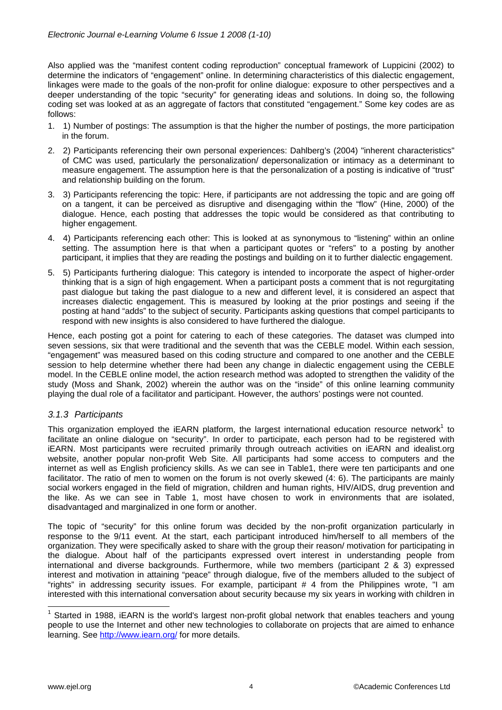Also applied was the "manifest content coding reproduction" conceptual framework of Luppicini (2002) to determine the indicators of "engagement" online. In determining characteristics of this dialectic engagement, linkages were made to the goals of the non-profit for online dialogue: exposure to other perspectives and a deeper understanding of the topic "security" for generating ideas and solutions. In doing so, the following coding set was looked at as an aggregate of factors that constituted "engagement." Some key codes are as follows:

- 1. 1) Number of postings: The assumption is that the higher the number of postings, the more participation in the forum.
- 2. 2) Participants referencing their own personal experiences: Dahlberg's (2004) "inherent characteristics" of CMC was used, particularly the personalization/ depersonalization or intimacy as a determinant to measure engagement. The assumption here is that the personalization of a posting is indicative of "trust" and relationship building on the forum.
- 3. 3) Participants referencing the topic: Here, if participants are not addressing the topic and are going off on a tangent, it can be perceived as disruptive and disengaging within the "flow" (Hine, 2000) of the dialogue. Hence, each posting that addresses the topic would be considered as that contributing to higher engagement.
- 4. 4) Participants referencing each other: This is looked at as synonymous to "listening" within an online setting. The assumption here is that when a participant quotes or "refers" to a posting by another participant, it implies that they are reading the postings and building on it to further dialectic engagement.
- 5. 5) Participants furthering dialogue: This category is intended to incorporate the aspect of higher-order thinking that is a sign of high engagement. When a participant posts a comment that is not regurgitating past dialogue but taking the past dialogue to a new and different level, it is considered an aspect that increases dialectic engagement. This is measured by looking at the prior postings and seeing if the posting at hand "adds" to the subject of security. Participants asking questions that compel participants to respond with new insights is also considered to have furthered the dialogue.

Hence, each posting got a point for catering to each of these categories. The dataset was clumped into seven sessions, six that were traditional and the seventh that was the CEBLE model. Within each session, "engagement" was measured based on this coding structure and compared to one another and the CEBLE session to help determine whether there had been any change in dialectic engagement using the CEBLE model. In the CEBLE online model, the action research method was adopted to strengthen the validity of the study (Moss and Shank, 2002) wherein the author was on the "inside" of this online learning community playing the dual role of a facilitator and participant. However, the authors' postings were not counted.

## *3.1.3 Participants*

This organization employed the iEARN platform, the largest international education resource network<sup>1</sup> to facilitate an online dialogue on "security". In order to participate, each person had to be registered with iEARN. Most participants were recruited primarily through outreach activities on iEARN and idealist.org website, another popular non-profit Web Site. All participants had some access to computers and the internet as well as English proficiency skills. As we can see in Table1, there were ten participants and one facilitator. The ratio of men to women on the forum is not overly skewed (4: 6). The participants are mainly social workers engaged in the field of migration, children and human rights, HIV/AIDS, drug prevention and the like. As we can see in Table 1, most have chosen to work in environments that are isolated, disadvantaged and marginalized in one form or another.

The topic of "security" for this online forum was decided by the non-profit organization particularly in response to the 9/11 event. At the start, each participant introduced him/herself to all members of the organization. They were specifically asked to share with the group their reason/ motivation for participating in the dialogue. About half of the participants expressed overt interest in understanding people from international and diverse backgrounds. Furthermore, while two members (participant 2 & 3) expressed interest and motivation in attaining "peace" through dialogue, five of the members alluded to the subject of "rights" in addressing security issues. For example, participant # 4 from the Philippines wrote, "I am interested with this international conversation about security because my six years in working with children in

TERT 1988, INCOCO 1988, INCOCO 1988, IEARN is the world's largest non-profit global network that enables teachers and young people to use the Internet and other new technologies to collaborate on projects that are aimed to enhance learning. See http://www.iearn.org/ for more details.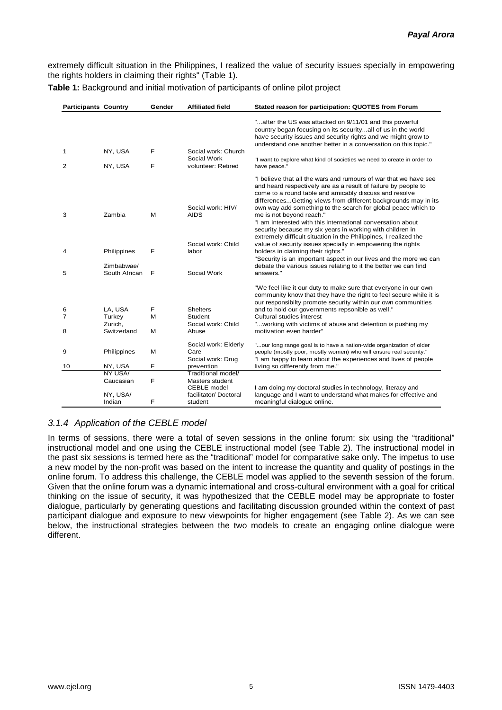extremely difficult situation in the Philippines, I realized the value of security issues specially in empowering the rights holders in claiming their rights" (Table 1).

| <b>Participants Country</b> |                        | Gender | <b>Affiliated field</b>                                  | Stated reason for participation: QUOTES from Forum                                                                                                                                                                                                                                                                                                                                                                                                                                                                                                                                                                         |
|-----------------------------|------------------------|--------|----------------------------------------------------------|----------------------------------------------------------------------------------------------------------------------------------------------------------------------------------------------------------------------------------------------------------------------------------------------------------------------------------------------------------------------------------------------------------------------------------------------------------------------------------------------------------------------------------------------------------------------------------------------------------------------------|
|                             |                        |        |                                                          | "after the US was attacked on 9/11/01 and this powerful<br>country began focusing on its securityall of us in the world<br>have security issues and security rights and we might grow to<br>understand one another better in a conversation on this topic."                                                                                                                                                                                                                                                                                                                                                                |
| $\mathbf 1$<br>2            | NY, USA                | F<br>F | Social work: Church<br>Social Work<br>volunteer: Retired | "I want to explore what kind of societies we need to create in order to                                                                                                                                                                                                                                                                                                                                                                                                                                                                                                                                                    |
|                             | NY, USA                |        |                                                          | have peace."                                                                                                                                                                                                                                                                                                                                                                                                                                                                                                                                                                                                               |
| 3                           | Zambia                 | M      | Social work: HIV/<br><b>AIDS</b><br>Social work: Child   | "I believe that all the wars and rumours of war that we have see<br>and heard respectively are as a result of failure by people to<br>come to a round table and amicably discuss and resolve<br>differencesGetting views from different backgrounds may in its<br>own way add something to the search for global peace which to<br>me is not beyond reach."<br>"I am interested with this international conversation about<br>security because my six years in working with children in<br>extremely difficult situation in the Philippines, I realized the<br>value of security issues specially in empowering the rights |
| 4                           | Philippines            | F      | labor                                                    | holders in claiming their rights."<br>"Security is an important aspect in our lives and the more we can                                                                                                                                                                                                                                                                                                                                                                                                                                                                                                                    |
|                             | Zimbabwae/             |        | Social Work                                              | debate the various issues relating to it the better we can find                                                                                                                                                                                                                                                                                                                                                                                                                                                                                                                                                            |
| 5                           | South African          | F      |                                                          | answers."                                                                                                                                                                                                                                                                                                                                                                                                                                                                                                                                                                                                                  |
|                             |                        |        |                                                          | "We feel like it our duty to make sure that everyone in our own<br>community know that they have the right to feel secure while it is<br>our responsibilty promote security within our own communities                                                                                                                                                                                                                                                                                                                                                                                                                     |
| 6                           | LA, USA                | F      | <b>Shelters</b>                                          | and to hold our governments repsonible as well."                                                                                                                                                                                                                                                                                                                                                                                                                                                                                                                                                                           |
| 7                           | Turkey                 | M      | Student                                                  | Cultural studies interest                                                                                                                                                                                                                                                                                                                                                                                                                                                                                                                                                                                                  |
| 8                           | Zurich.<br>Switzerland | M      | Social work: Child<br>Abuse                              | "working with victims of abuse and detention is pushing my<br>motivation even harder"                                                                                                                                                                                                                                                                                                                                                                                                                                                                                                                                      |
|                             |                        |        |                                                          |                                                                                                                                                                                                                                                                                                                                                                                                                                                                                                                                                                                                                            |
| 9                           | Philippines            | M      | Social work: Elderly<br>Care                             | "our long range goal is to have a nation-wide organization of older<br>people (mostly poor, mostly women) who will ensure real security."                                                                                                                                                                                                                                                                                                                                                                                                                                                                                  |
|                             |                        |        | Social work: Drug                                        | "I am happy to learn about the experiences and lives of people                                                                                                                                                                                                                                                                                                                                                                                                                                                                                                                                                             |
| 10                          | NY, USA                | F      | prevention                                               | living so differently from me."                                                                                                                                                                                                                                                                                                                                                                                                                                                                                                                                                                                            |
|                             | NY USA/                |        | Traditional model/                                       |                                                                                                                                                                                                                                                                                                                                                                                                                                                                                                                                                                                                                            |
|                             | Caucasian              | F      | Masters student<br><b>CEBLE</b> model                    | I am doing my doctoral studies in technology, literacy and                                                                                                                                                                                                                                                                                                                                                                                                                                                                                                                                                                 |
|                             | NY, USA/<br>Indian     | F      | facilitator/ Doctoral<br>student                         | language and I want to understand what makes for effective and<br>meaningful dialogue online.                                                                                                                                                                                                                                                                                                                                                                                                                                                                                                                              |

**Table 1:** Background and initial motivation of participants of online pilot project

# *3.1.4 Application of the CEBLE model*

In terms of sessions, there were a total of seven sessions in the online forum: six using the "traditional" instructional model and one using the CEBLE instructional model (see Table 2). The instructional model in the past six sessions is termed here as the "traditional" model for comparative sake only. The impetus to use a new model by the non-profit was based on the intent to increase the quantity and quality of postings in the online forum. To address this challenge, the CEBLE model was applied to the seventh session of the forum. Given that the online forum was a dynamic international and cross-cultural environment with a goal for critical thinking on the issue of security, it was hypothesized that the CEBLE model may be appropriate to foster dialogue, particularly by generating questions and facilitating discussion grounded within the context of past participant dialogue and exposure to new viewpoints for higher engagement (see Table 2). As we can see below, the instructional strategies between the two models to create an engaging online dialogue were different.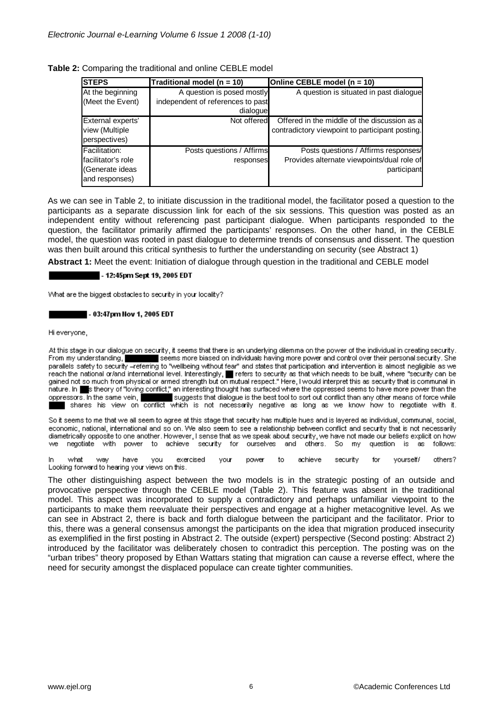| Table 2: Comparing the traditional and online CEBLE model |  |
|-----------------------------------------------------------|--|
|-----------------------------------------------------------|--|

| <b>STEPS</b>        | Traditional model (n = 10)        | Online CEBLE model (n = 10)                     |
|---------------------|-----------------------------------|-------------------------------------------------|
| At the beginning    | A question is posed mostly        | A question is situated in past dialogue         |
| (Meet the Event)    | independent of references to past |                                                 |
|                     | dialogue                          |                                                 |
| External experts'   | Not offered                       | Offered in the middle of the discussion as a    |
| view (Multiple      |                                   | contradictory viewpoint to participant posting. |
| perspectives)       |                                   |                                                 |
| Facilitation:       | Posts questions / Affirms         | Posts questions / Affirms responses/            |
| Ifacilitator's role | responses                         | Provides alternate viewpoints/dual role of      |
| (Generate ideas     |                                   | participant                                     |
| and responses)      |                                   |                                                 |

As we can see in Table 2, to initiate discussion in the traditional model, the facilitator posed a question to the participants as a separate discussion link for each of the six sessions. This question was posted as an independent entity without referencing past participant dialogue. When participants responded to the question, the facilitator primarily affirmed the participants' responses. On the other hand, in the CEBLE model, the question was rooted in past dialogue to determine trends of consensus and dissent. The question was then built around this critical synthesis to further the understanding on security (see Abstract 1)

**Abstract 1:** Meet the event: Initiation of dialogue through question in the traditional and CEBLE model

#### - 12:45pm Sept 19, 2005 EDT

What are the biggest obstacles to security in your locality?

#### - 03:47pm Nov 1, 2005 EDT

Hi everyone,

At this stage in our dialogue on security, it seems that there is an underlying dilemma on the power of the individual in creating security. From my understanding, seems more biased on individuals having more power and control over their personal security. She parallels safety to security -referring to "wellbeing without fear" and states that participation and intervention is almost negligible as we reach the national or/and international level. Interestingly, **T** refers to security as that which needs to be built, where "security can be reach the national or/and international evel. Interestingly, T refers to security nature. In steep for the steep of "loving conflict," an interesting thought has surfaced where the oppressed seems to have more power than the oppressors. In the same vein, suggests that dialogue is the best tool to sort out conflict than any other means of force while<br>Shares his view on conflict which is not necessarily negative as long as we know how to negotia

So it seems to me that we all seem to agree at this stage that security has multiple hues and is layered as individual, communal, social, economic, national, international and so on. We also seem to see a relationship between conflict and security that is not necessarily diametrically opposite to one another. However, I sense that as we speak about security, we have not made our beliefs explicit on how we negotiate with power to achieve security for ourselves and others. So my question is as follows:

you exercised to. achieve security vourself/ others? what way have vour power for In. Looking forward to hearing your views on this.

The other distinguishing aspect between the two models is in the strategic posting of an outside and provocative perspective through the CEBLE model (Table 2). This feature was absent in the traditional model. This aspect was incorporated to supply a contradictory and perhaps unfamiliar viewpoint to the participants to make them reevaluate their perspectives and engage at a higher metacognitive level. As we can see in Abstract 2, there is back and forth dialogue between the participant and the facilitator. Prior to this, there was a general consensus amongst the participants on the idea that migration produced insecurity as exemplified in the first posting in Abstract 2. The outside (expert) perspective (Second posting: Abstract 2) introduced by the facilitator was deliberately chosen to contradict this perception. The posting was on the "urban tribes" theory proposed by Ethan Wattars stating that migration can cause a reverse effect, where the need for security amongst the displaced populace can create tighter communities.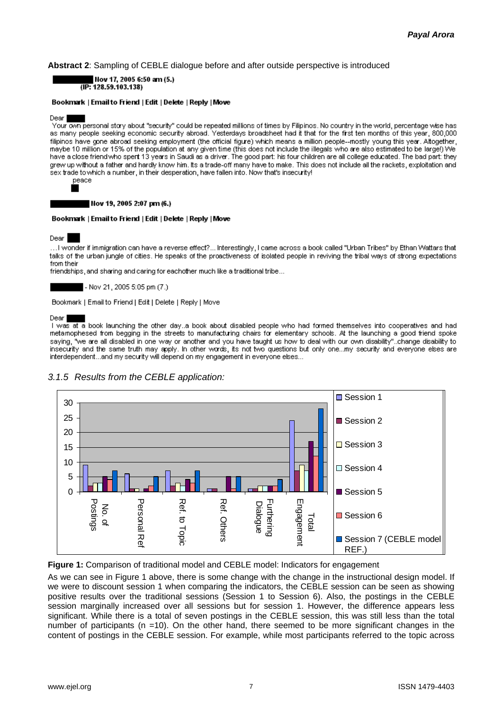### **Abstract 2**: Sampling of CEBLE dialogue before and after outside perspective is introduced



#### Bookmark | Email to Friend | Edit | Delete | Reply | Move

#### **Dear**

Your own personal story about "security" could be repeated millions of times by Filipinos. No country in the world, percentage wise has as many people seeking economic security abroad. Yesterdays broadsheet had it that for the first ten months of this year, 800,000 filipinos have gone abroad seeking employment (the official figure) which means a million people--mostly young this year. Altogether, maybe 10 million or 15% of the population at any given time (this does not include the illegals who are also estimated to be largel) We have a close friend who spert 13 years in Saudi as a driver. The good part: his four children are all college educated. The bad part: they grew up without a father and hardly know him. Its a trade-off many have to make. This does not include all the rackets, exploitation and sex trade to which a number, in their desperation, have fallen into. Now that's insecurity! peace

#### Hov 19, 2005 2:07 pm (6.)

#### Bookmark | Email to Friend | Edit | Delete | Reply | Move

Dear

…I wonder if immigration can have a reverse effect?… Interestingly, I came across a book called "Urban Tribes" by Ethan Wattars that talks of the urban jungle of cities. He speaks of the proactiveness of isolated people in reviving the tribal ways of strong expectations from their

friendships, and sharing and caring for eachother much like a traditional tribe...

- Nov 21, 2005 5:05 pm (7.)

Bookmark | Email to Friend | Edit | Delete | Reply | Move

#### Dear

I was at a book launching the other day..a book about disabled people who had formed themselves into cooperatives and had metamophesed from begging in the streets to manufacturing chairs for elementary schools. At the launching a good friend spoke saying, "we are all disabled in one way or another and you have taught us how to deal with our own disability"..change disability to insecurity and the same truth may apply. In other words, its not two questions but only one...my security and everyone elses are interdependent...and my security will depend on my engagement in everyone elses...



### *3.1.5 Results from the CEBLE application:*

**Figure 1:** Comparison of traditional model and CEBLE model: Indicators for engagement

As we can see in Figure 1 above, there is some change with the change in the instructional design model. If we were to discount session 1 when comparing the indicators, the CEBLE session can be seen as showing positive results over the traditional sessions (Session 1 to Session 6). Also, the postings in the CEBLE session marginally increased over all sessions but for session 1. However, the difference appears less significant. While there is a total of seven postings in the CEBLE session, this was still less than the total number of participants (n =10). On the other hand, there seemed to be more significant changes in the content of postings in the CEBLE session. For example, while most participants referred to the topic across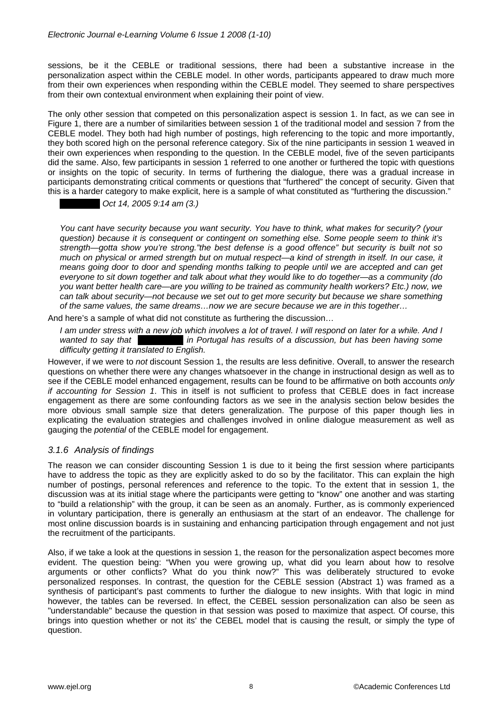sessions, be it the CEBLE or traditional sessions, there had been a substantive increase in the personalization aspect within the CEBLE model. In other words, participants appeared to draw much more from their own experiences when responding within the CEBLE model. They seemed to share perspectives from their own contextual environment when explaining their point of view.

The only other session that competed on this personalization aspect is session 1. In fact, as we can see in Figure 1, there are a number of similarities between session 1 of the traditional model and session 7 from the CEBLE model. They both had high number of postings, high referencing to the topic and more importantly, they both scored high on the personal reference category. Six of the nine participants in session 1 weaved in their own experiences when responding to the question. In the CEBLE model, five of the seven participants did the same. Also, few participants in session 1 referred to one another or furthered the topic with questions or insights on the topic of security. In terms of furthering the dialogue, there was a gradual increase in participants demonstrating critical comments or questions that "furthered" the concept of security. Given that this is a harder category to make explicit, here is a sample of what constituted as "furthering the discussion."

 *- Oct 14, 2005 9:14 am (3.)* 

*You cant have security because you want security. You have to think, what makes for security? (your question) because it is consequent or contingent on something else. Some people seem to think it's strength—gotta show you're strong."the best defense is a good offence" but security is built not so much on physical or armed strength but on mutual respect—a kind of strength in itself. In our case, it means going door to door and spending months talking to people until we are accepted and can get everyone to sit down together and talk about what they would like to do together—as a community (do you want better health care—are you willing to be trained as community health workers? Etc.) now, we can talk about security—not because we set out to get more security but because we share something of the same values, the same dreams…now we are secure because we are in this together…* 

And here's a sample of what did not constitute as furthering the discussion…

*I am under stress with a new job which involves a lot of travel. I will respond on later for a while. And I wanted to say that*  $\cdot$  *in Portugal has results of a discussion, but has been having some difficulty getting it translated to English.* 

However, if we were to *not* discount Session 1, the results are less definitive. Overall, to answer the research questions on whether there were any changes whatsoever in the change in instructional design as well as to see if the CEBLE model enhanced engagement, results can be found to be affirmative on both accounts *only if accounting for Session 1*. This in itself is not sufficient to profess that CEBLE does in fact increase engagement as there are some confounding factors as we see in the analysis section below besides the more obvious small sample size that deters generalization. The purpose of this paper though lies in explicating the evaluation strategies and challenges involved in online dialogue measurement as well as gauging the *potential* of the CEBLE model for engagement.

# *3.1.6 Analysis of findings*

The reason we can consider discounting Session 1 is due to it being the first session where participants have to address the topic as they are explicitly asked to do so by the facilitator. This can explain the high number of postings, personal references and reference to the topic. To the extent that in session 1, the discussion was at its initial stage where the participants were getting to "know" one another and was starting to "build a relationship" with the group, it can be seen as an anomaly. Further, as is commonly experienced in voluntary participation, there is generally an enthusiasm at the start of an endeavor. The challenge for most online discussion boards is in sustaining and enhancing participation through engagement and not just the recruitment of the participants.

Also, if we take a look at the questions in session 1, the reason for the personalization aspect becomes more evident. The question being: "When you were growing up, what did you learn about how to resolve arguments or other conflicts? What do you think now?" This was deliberately structured to evoke personalized responses. In contrast, the question for the CEBLE session (Abstract 1) was framed as a synthesis of participant's past comments to further the dialogue to new insights. With that logic in mind however, the tables can be reversed. In effect, the CEBEL session personalization can also be seen as "understandable" because the question in that session was posed to maximize that aspect. Of course, this brings into question whether or not its' the CEBEL model that is causing the result, or simply the type of question.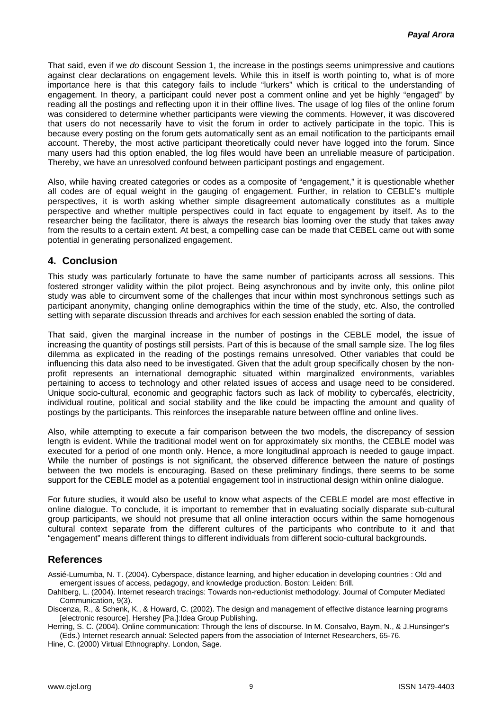That said, even if we *do* discount Session 1, the increase in the postings seems unimpressive and cautions against clear declarations on engagement levels. While this in itself is worth pointing to, what is of more importance here is that this category fails to include "lurkers" which is critical to the understanding of engagement. In theory, a participant could never post a comment online and yet be highly "engaged" by reading all the postings and reflecting upon it in their offline lives. The usage of log files of the online forum was considered to determine whether participants were viewing the comments. However, it was discovered that users do not necessarily have to visit the forum in order to actively participate in the topic. This is because every posting on the forum gets automatically sent as an email notification to the participants email account. Thereby, the most active participant theoretically could never have logged into the forum. Since many users had this option enabled, the log files would have been an unreliable measure of participation. Thereby, we have an unresolved confound between participant postings and engagement.

Also, while having created categories or codes as a composite of "engagement," it is questionable whether all codes are of equal weight in the gauging of engagement. Further, in relation to CEBLE's multiple perspectives, it is worth asking whether simple disagreement automatically constitutes as a multiple perspective and whether multiple perspectives could in fact equate to engagement by itself. As to the researcher being the facilitator, there is always the research bias looming over the study that takes away from the results to a certain extent. At best, a compelling case can be made that CEBEL came out with some potential in generating personalized engagement.

# **4. Conclusion**

This study was particularly fortunate to have the same number of participants across all sessions. This fostered stronger validity within the pilot project. Being asynchronous and by invite only, this online pilot study was able to circumvent some of the challenges that incur within most synchronous settings such as participant anonymity, changing online demographics within the time of the study, etc. Also, the controlled setting with separate discussion threads and archives for each session enabled the sorting of data.

That said, given the marginal increase in the number of postings in the CEBLE model, the issue of increasing the quantity of postings still persists. Part of this is because of the small sample size. The log files dilemma as explicated in the reading of the postings remains unresolved. Other variables that could be influencing this data also need to be investigated. Given that the adult group specifically chosen by the nonprofit represents an international demographic situated within marginalized environments, variables pertaining to access to technology and other related issues of access and usage need to be considered. Unique socio-cultural, economic and geographic factors such as lack of mobility to cybercafés, electricity, individual routine, political and social stability and the like could be impacting the amount and quality of postings by the participants. This reinforces the inseparable nature between offline and online lives.

Also, while attempting to execute a fair comparison between the two models, the discrepancy of session length is evident. While the traditional model went on for approximately six months, the CEBLE model was executed for a period of one month only. Hence, a more longitudinal approach is needed to gauge impact. While the number of postings is not significant, the observed difference between the nature of postings between the two models is encouraging. Based on these preliminary findings, there seems to be some support for the CEBLE model as a potential engagement tool in instructional design within online dialogue.

For future studies, it would also be useful to know what aspects of the CEBLE model are most effective in online dialogue. To conclude, it is important to remember that in evaluating socially disparate sub-cultural group participants, we should not presume that all online interaction occurs within the same homogenous cultural context separate from the different cultures of the participants who contribute to it and that "engagement" means different things to different individuals from different socio-cultural backgrounds.

## **References**

Assié-Lumumba, N. T. (2004). Cyberspace, distance learning, and higher education in developing countries : Old and emergent issues of access, pedagogy, and knowledge production. Boston: Leiden: Brill.

Dahlberg, L. (2004). Internet research tracings: Towards non-reductionist methodology. Journal of Computer Mediated Communication, 9(3).

Discenza, R., & Schenk, K., & Howard, C. (2002). The design and management of effective distance learning programs [electronic resource]. Hershey [Pa.]: Idea Group Publishing.

Herring, S. C. (2004). Online communication: Through the lens of discourse. In M. Consalvo, Baym, N., & J.Hunsinger's (Eds.) Internet research annual: Selected papers from the association of Internet Researchers, 65-76.

Hine, C. (2000) Virtual Ethnography. London, Sage.